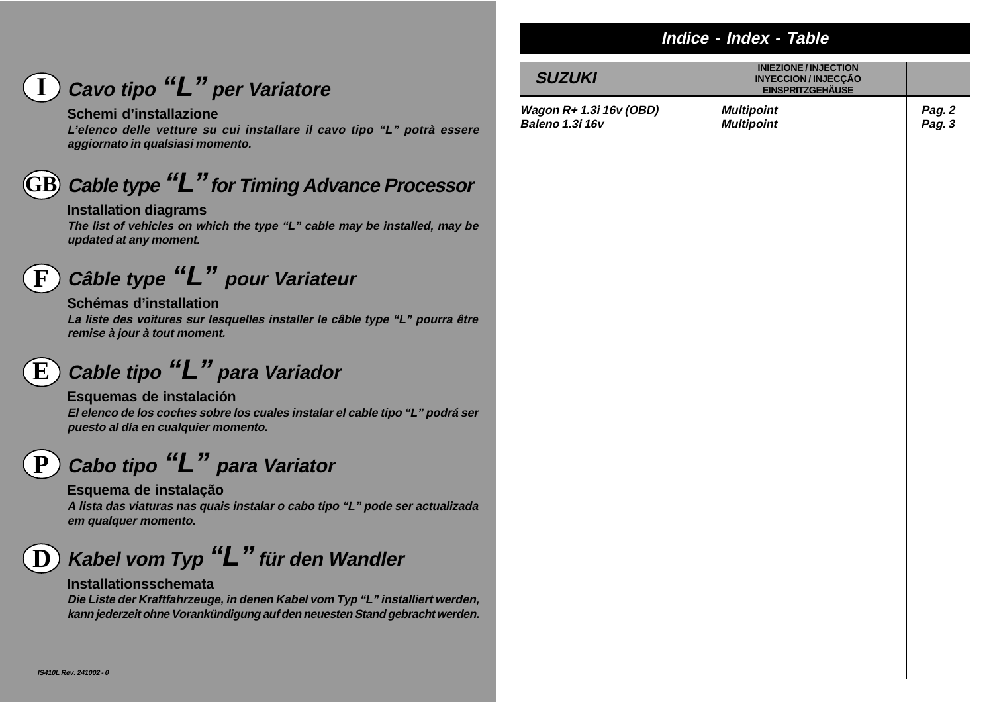# **Indice - Index - Table**

# **Cavo tipo "L" per Variatore I**

## **Schemi d'installazione**

**L'elenco delle vetture su cui installare il cavo tipo "L" potrà essere aggiornato in qualsiasi momento.**

### **Cable type "L" for Timing Advance Processor GB**

#### **Installation diagrams**

**The list of vehicles on which the type "L" cable may be installed, may be updated at any moment.**

**Câble type "L" pour Variateur F**

#### **Schémas d'installation**

**La liste des voitures sur lesquelles installer le câble type "L" pourra être remise à jour à tout moment.**

#### **Cable tipo "L" para Variador E**

**Esquemas de instalación El elenco de los coches sobre los cuales instalar el cable tipo "L" podrá ser puesto al día en cualquier momento.**

### **Cabo tipo "L" para Variator P**

**Esquema de instalação A lista das viaturas nas quais instalar o cabo tipo "L" pode ser actualizada em qualquer momento.**

### **Kabel vom Typ "L" für den Wandler D**

#### **Installationsschemata**

**Die Liste der Kraftfahrzeuge, in denen Kabel vom Typ "L" installiert werden, kann jederzeit ohne Vorankündigung auf den neuesten Stand gebracht werden.**

| <b>SUZUKI</b>                              | <b>INIEZIONE / INJECTION</b><br><b>INYECCION/INJECÇÃO</b><br><b>EINSPRITZGEHÄUSE</b> |                  |
|--------------------------------------------|--------------------------------------------------------------------------------------|------------------|
| Wagon R+ 1.3i 16v (OBD)<br>Baleno 1.3i 16v | <b>Multipoint</b><br><b>Multipoint</b>                                               | Pag. 2<br>Pag. 3 |
|                                            |                                                                                      |                  |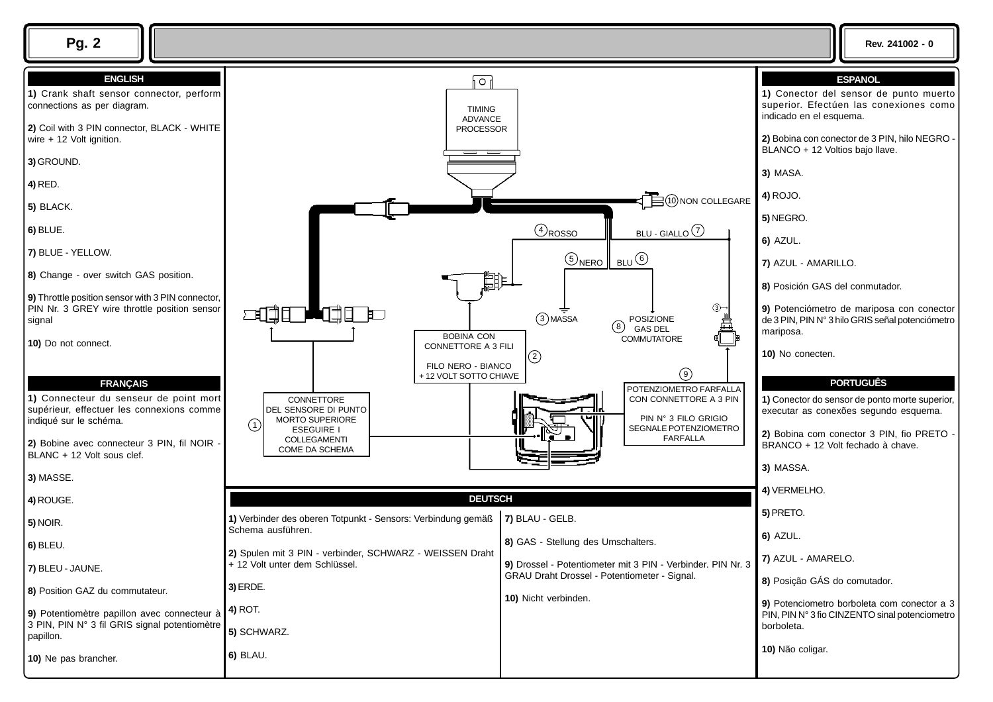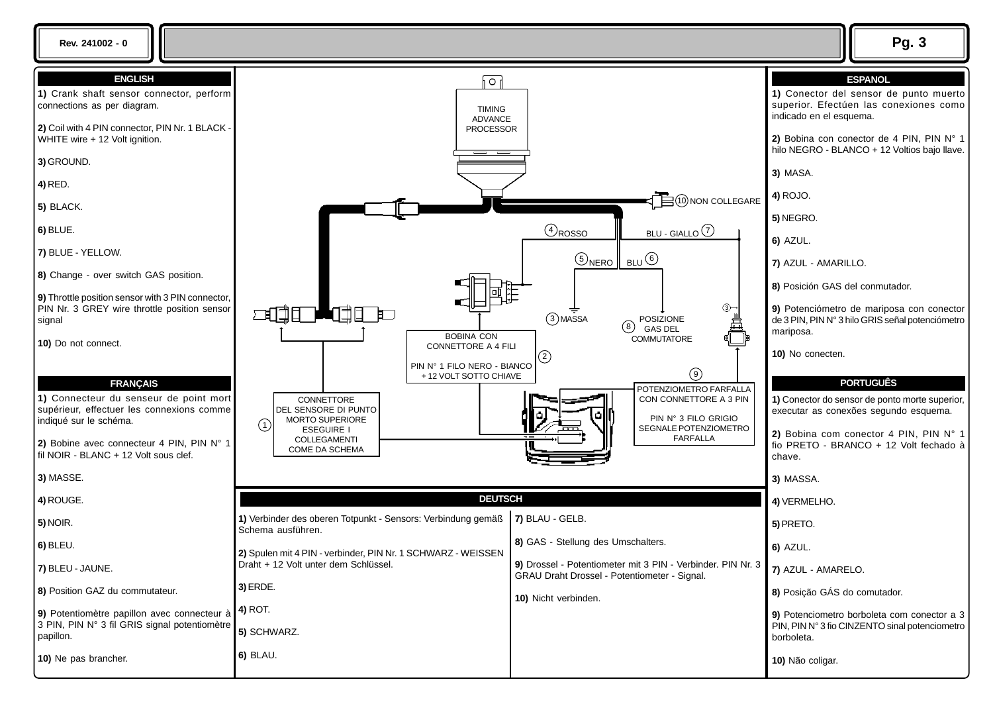**Rev. 241002 - 0 Pg. 3**